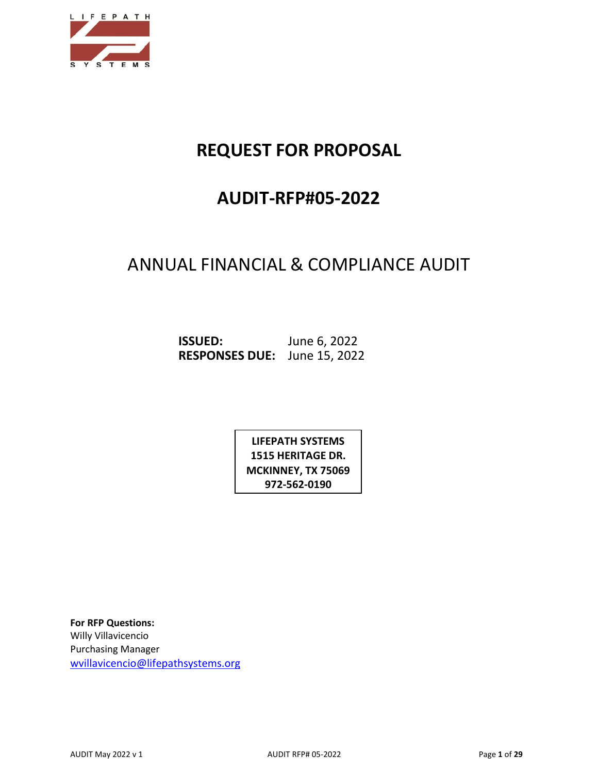

# **REQUEST FOR PROPOSAL**

# **AUDIT-RFP#05-2022**

## ANNUAL FINANCIAL & COMPLIANCE AUDIT

**ISSUED:** June 6, 2022 **RESPONSES DUE:** June 15, 2022

> **LIFEPATH SYSTEMS 1515 HERITAGE DR. MCKINNEY, TX 75069 972-562-0190**

**For RFP Questions:**  Willy Villavicencio Purchasing Manager [wvillavicencio@lifepathsystems.org](mailto:wvillavicencio@lifepathsystems.org)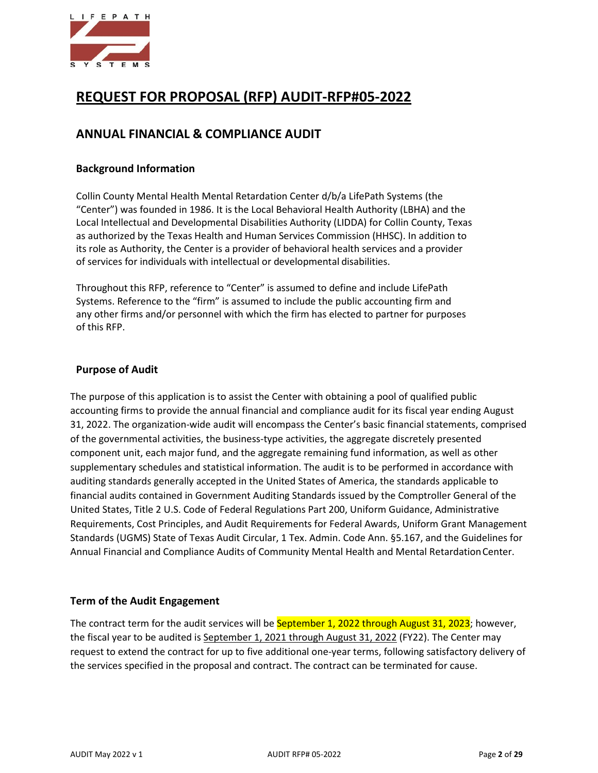

## **REQUEST FOR PROPOSAL (RFP) AUDIT-RFP#05-2022**

## **ANNUAL FINANCIAL & COMPLIANCE AUDIT**

#### **Background Information**

Collin County Mental Health Mental Retardation Center d/b/a LifePath Systems (the "Center") was founded in 1986. It is the Local Behavioral Health Authority (LBHA) and the Local Intellectual and Developmental Disabilities Authority (LIDDA) for Collin County, Texas as authorized by the Texas Health and Human Services Commission (HHSC). In addition to its role as Authority, the Center is a provider of behavioral health services and a provider of services for individuals with intellectual or developmental disabilities.

Throughout this RFP, reference to "Center" is assumed to define and include LifePath Systems. Reference to the "firm" is assumed to include the public accounting firm and any other firms and/or personnel with which the firm has elected to partner for purposes of this RFP.

#### **Purpose of Audit**

The purpose of this application is to assist the Center with obtaining a pool of qualified public accounting firms to provide the annual financial and compliance audit for its fiscal year ending August 31, 2022. The organization-wide audit will encompass the Center's basic financial statements, comprised of the governmental activities, the business-type activities, the aggregate discretely presented component unit, each major fund, and the aggregate remaining fund information, as well as other supplementary schedules and statistical information. The audit is to be performed in accordance with auditing standards generally accepted in the United States of America, the standards applicable to financial audits contained in Government Auditing Standards issued by the Comptroller General of the United States, Title 2 U.S. Code of Federal Regulations Part 200, Uniform Guidance, Administrative Requirements, Cost Principles, and Audit Requirements for Federal Awards, Uniform Grant Management Standards (UGMS) State of Texas Audit Circular, 1 Tex. Admin. Code Ann. §5.167, and the Guidelines for Annual Financial and Compliance Audits of Community Mental Health and Mental RetardationCenter.

#### **Term of the Audit Engagement**

The contract term for the audit services will be September 1, 2022 through August 31, 2023; however, the fiscal year to be audited is September 1, 2021 through August 31, 2022 (FY22). The Center may request to extend the contract for up to five additional one-year terms, following satisfactory delivery of the services specified in the proposal and contract. The contract can be terminated for cause.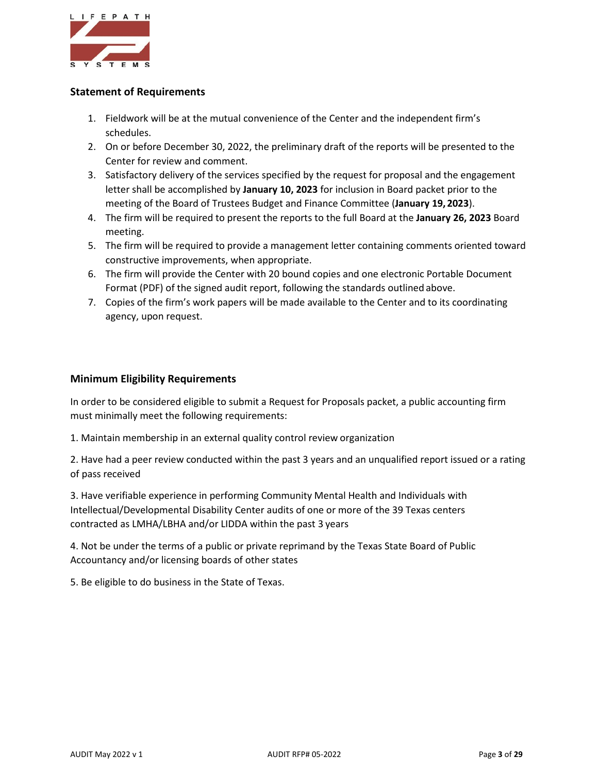

#### **Statement of Requirements**

- 1. Fieldwork will be at the mutual convenience of the Center and the independent firm's schedules.
- 2. On or before December 30, 2022, the preliminary draft of the reports will be presented to the Center for review and comment.
- 3. Satisfactory delivery of the services specified by the request for proposal and the engagement letter shall be accomplished by **January 10, 2023** for inclusion in Board packet prior to the meeting of the Board of Trustees Budget and Finance Committee (**January 19, 2023**).
- 4. The firm will be required to present the reports to the full Board at the **January 26, 2023** Board meeting.
- 5. The firm will be required to provide a management letter containing comments oriented toward constructive improvements, when appropriate.
- 6. The firm will provide the Center with 20 bound copies and one electronic Portable Document Format (PDF) of the signed audit report, following the standards outlined above.
- 7. Copies of the firm's work papers will be made available to the Center and to its coordinating agency, upon request.

#### **Minimum Eligibility Requirements**

In order to be considered eligible to submit a Request for Proposals packet, a public accounting firm must minimally meet the following requirements:

1. Maintain membership in an external quality control review organization

2. Have had a peer review conducted within the past 3 years and an unqualified report issued or a rating of pass received

3. Have verifiable experience in performing Community Mental Health and Individuals with Intellectual/Developmental Disability Center audits of one or more of the 39 Texas centers contracted as LMHA/LBHA and/or LIDDA within the past 3 years

4. Not be under the terms of a public or private reprimand by the Texas State Board of Public Accountancy and/or licensing boards of other states

5. Be eligible to do business in the State of Texas.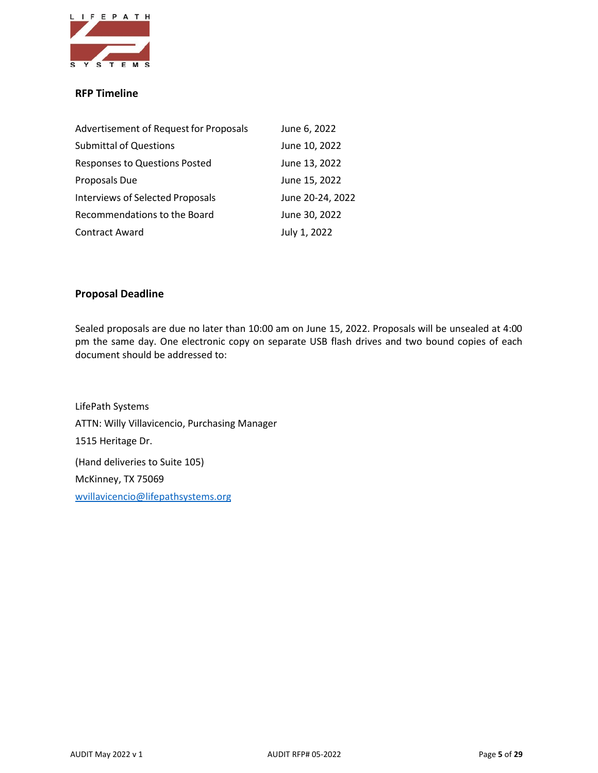

#### **RFP Timeline**

| Advertisement of Request for Proposals  | June 6, 2022     |
|-----------------------------------------|------------------|
| <b>Submittal of Questions</b>           | June 10, 2022    |
| <b>Responses to Questions Posted</b>    | June 13, 2022    |
| Proposals Due                           | June 15, 2022    |
| <b>Interviews of Selected Proposals</b> | June 20-24, 2022 |
| Recommendations to the Board            | June 30, 2022    |
| <b>Contract Award</b>                   | July 1, 2022     |

#### **Proposal Deadline**

Sealed proposals are due no later than 10:00 am on June 15, 2022. Proposals will be unsealed at 4:00 pm the same day. One electronic copy on separate USB flash drives and two bound copies of each document should be addressed to:

LifePath Systems ATTN: Willy Villavicencio, Purchasing Manager 1515 Heritage Dr. (Hand deliveries to Suite 105) McKinney, TX 75069 [wvillavicencio@lifepathsystems.org](mailto:wvillavicencio@lifepathsystems.org)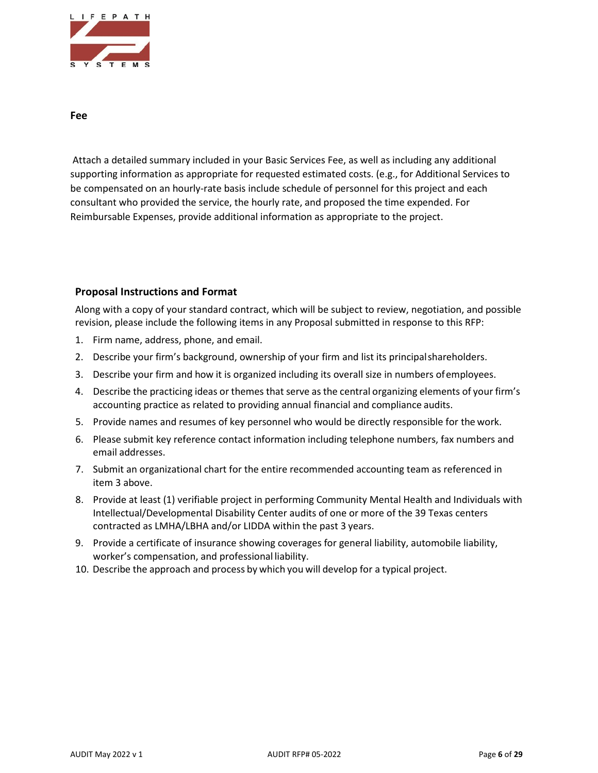

**Fee**

Attach a detailed summary included in your Basic Services Fee, as well as including any additional supporting information as appropriate for requested estimated costs. (e.g., for Additional Services to be compensated on an hourly-rate basis include schedule of personnel for this project and each consultant who provided the service, the hourly rate, and proposed the time expended. For Reimbursable Expenses, provide additional information as appropriate to the project.

#### **Proposal Instructions and Format**

Along with a copy of your standard contract, which will be subject to review, negotiation, and possible revision, please include the following items in any Proposal submitted in response to this RFP:

- 1. Firm name, address, phone, and email.
- 2. Describe your firm's background, ownership of your firm and list its principalshareholders.
- 3. Describe your firm and how it is organized including its overall size in numbers ofemployees.
- 4. Describe the practicing ideas or themes that serve as the central organizing elements of your firm's accounting practice as related to providing annual financial and compliance audits.
- 5. Provide names and resumes of key personnel who would be directly responsible for the work.
- 6. Please submit key reference contact information including telephone numbers, fax numbers and email addresses.
- 7. Submit an organizational chart for the entire recommended accounting team as referenced in item 3 above.
- 8. Provide at least (1) verifiable project in performing Community Mental Health and Individuals with Intellectual/Developmental Disability Center audits of one or more of the 39 Texas centers contracted as LMHA/LBHA and/or LIDDA within the past 3 years.
- 9. Provide a certificate of insurance showing coverages for general liability, automobile liability, worker's compensation, and professional liability.
- 10. Describe the approach and process by which you will develop for a typical project.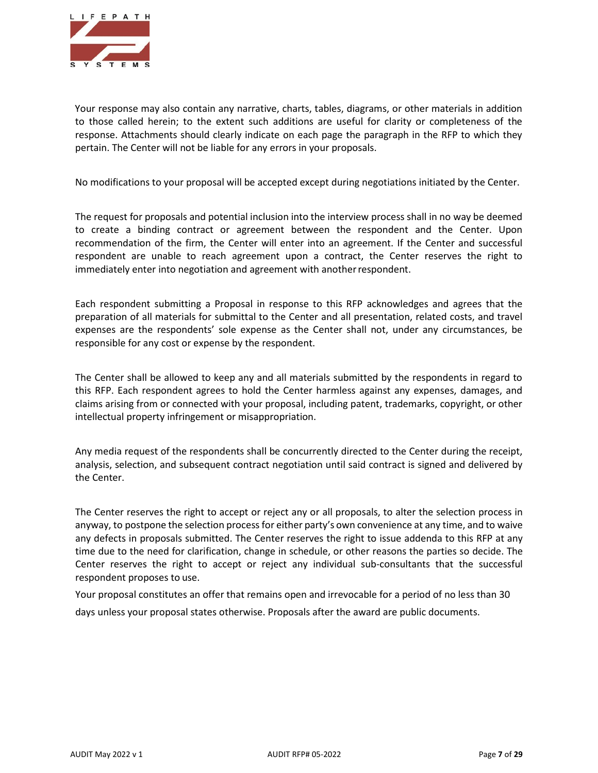

Your response may also contain any narrative, charts, tables, diagrams, or other materials in addition to those called herein; to the extent such additions are useful for clarity or completeness of the response. Attachments should clearly indicate on each page the paragraph in the RFP to which they pertain. The Center will not be liable for any errors in your proposals.

No modifications to your proposal will be accepted except during negotiations initiated by the Center.

The request for proposals and potential inclusion into the interview process shall in no way be deemed to create a binding contract or agreement between the respondent and the Center. Upon recommendation of the firm, the Center will enter into an agreement. If the Center and successful respondent are unable to reach agreement upon a contract, the Center reserves the right to immediately enter into negotiation and agreement with anotherrespondent.

Each respondent submitting a Proposal in response to this RFP acknowledges and agrees that the preparation of all materials for submittal to the Center and all presentation, related costs, and travel expenses are the respondents' sole expense as the Center shall not, under any circumstances, be responsible for any cost or expense by the respondent.

The Center shall be allowed to keep any and all materials submitted by the respondents in regard to this RFP. Each respondent agrees to hold the Center harmless against any expenses, damages, and claims arising from or connected with your proposal, including patent, trademarks, copyright, or other intellectual property infringement or misappropriation.

Any media request of the respondents shall be concurrently directed to the Center during the receipt, analysis, selection, and subsequent contract negotiation until said contract is signed and delivered by the Center.

The Center reserves the right to accept or reject any or all proposals, to alter the selection process in anyway, to postpone the selection process for either party's own convenience at any time, and to waive any defects in proposals submitted. The Center reserves the right to issue addenda to this RFP at any time due to the need for clarification, change in schedule, or other reasons the parties so decide. The Center reserves the right to accept or reject any individual sub-consultants that the successful respondent proposes to use.

Your proposal constitutes an offer that remains open and irrevocable for a period of no less than 30 days unless your proposal states otherwise. Proposals after the award are public documents.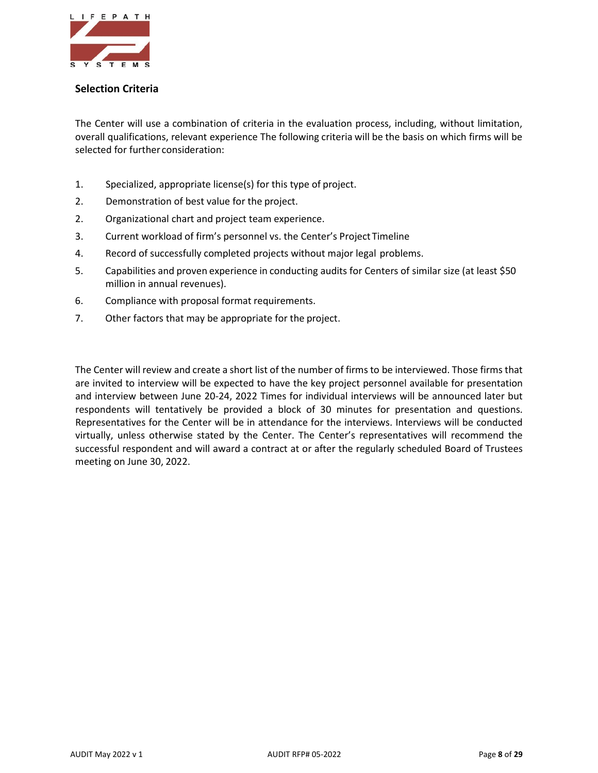

#### **Selection Criteria**

The Center will use a combination of criteria in the evaluation process, including, without limitation, overall qualifications, relevant experience The following criteria will be the basis on which firms will be selected for further consideration:

- 1. Specialized, appropriate license(s) for this type of project.
- 2. Demonstration of best value for the project.
- 2. Organizational chart and project team experience.
- 3. Current workload of firm's personnel vs. the Center's Project Timeline
- 4. Record of successfully completed projects without major legal problems.
- 5. Capabilities and proven experience in conducting audits for Centers of similar size (at least \$50 million in annual revenues).
- 6. Compliance with proposal format requirements.
- 7. Other factors that may be appropriate for the project.

The Center will review and create a short list of the number of firms to be interviewed. Those firms that are invited to interview will be expected to have the key project personnel available for presentation and interview between June 20-24, 2022 Times for individual interviews will be announced later but respondents will tentatively be provided a block of 30 minutes for presentation and questions. Representatives for the Center will be in attendance for the interviews. Interviews will be conducted virtually, unless otherwise stated by the Center. The Center's representatives will recommend the successful respondent and will award a contract at or after the regularly scheduled Board of Trustees meeting on June 30, 2022.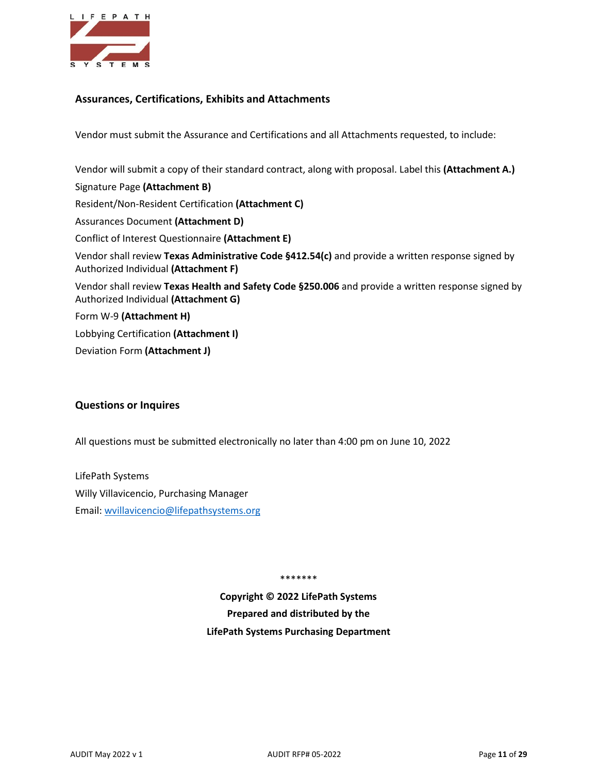

#### **Assurances, Certifications, Exhibits and Attachments**

Vendor must submit the Assurance and Certifications and all Attachments requested, to include:

Vendor will submit a copy of their standard contract, along with proposal. Label this **(Attachment A.)**

Signature Page **(Attachment B)** Resident/Non-Resident Certification **(Attachment C)** Assurances Document **(Attachment D)** Conflict of Interest Questionnaire **(Attachment E)** Vendor shall review **Texas Administrative Code §412.54(c)** and provide a written response signed by Authorized Individual **(Attachment F)** Vendor shall review **Texas Health and Safety Code §250.006** and provide a written response signed by Authorized Individual **(Attachment G)** Form W-9 **(Attachment H)** Lobbying Certification **(Attachment I)**  Deviation Form **(Attachment J)** 

#### **Questions or Inquires**

All questions must be submitted electronically no later than 4:00 pm on June 10, 2022

LifePath Systems Willy Villavicencio, Purchasing Manager Email: [wvillavicencio@lifepathsystems.org](mailto:wvillavicencio@lifepathsystems.org)

\*\*\*\*\*\*\*

**Copyright © 2022 LifePath Systems Prepared and distributed by the LifePath Systems Purchasing Department**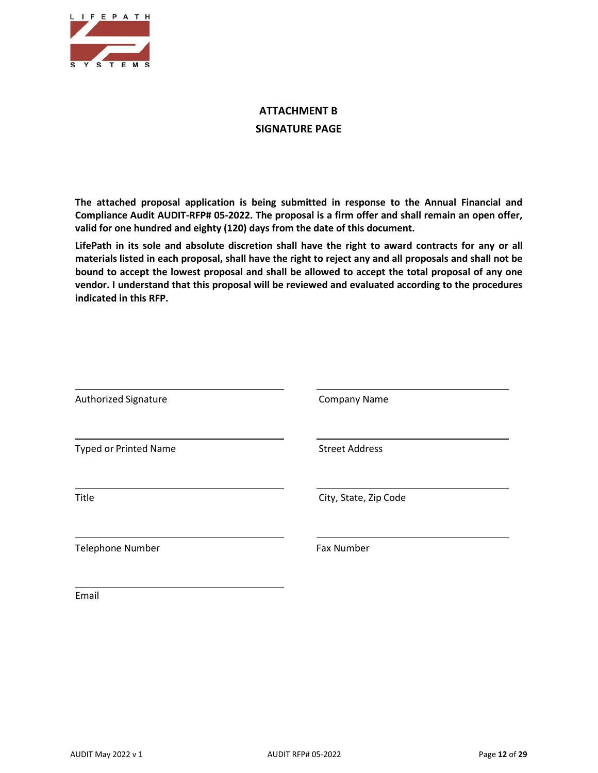

## **ATTACHMENT B SIGNATURE PAGE**

**The attached proposal application is being submitted in response to the Annual Financial and Compliance Audit AUDIT-RFP# 05-2022. The proposal is a firm offer and shall remain an open offer, valid for one hundred and eighty (120) days from the date of this document.**

**LifePath in its sole and absolute discretion shall have the right to award contracts for any or all materials listed in each proposal, shall have the right to reject any and all proposals and shall not be bound to accept the lowest proposal and shall be allowed to accept the total proposal of any one vendor. I understand that this proposal will be reviewed and evaluated according to the procedures indicated in this RFP.**

| Authorized Signature         | <b>Company Name</b>   |
|------------------------------|-----------------------|
| <b>Typed or Printed Name</b> | <b>Street Address</b> |
| Title                        | City, State, Zip Code |
| <b>Telephone Number</b>      | <b>Fax Number</b>     |
| Email                        |                       |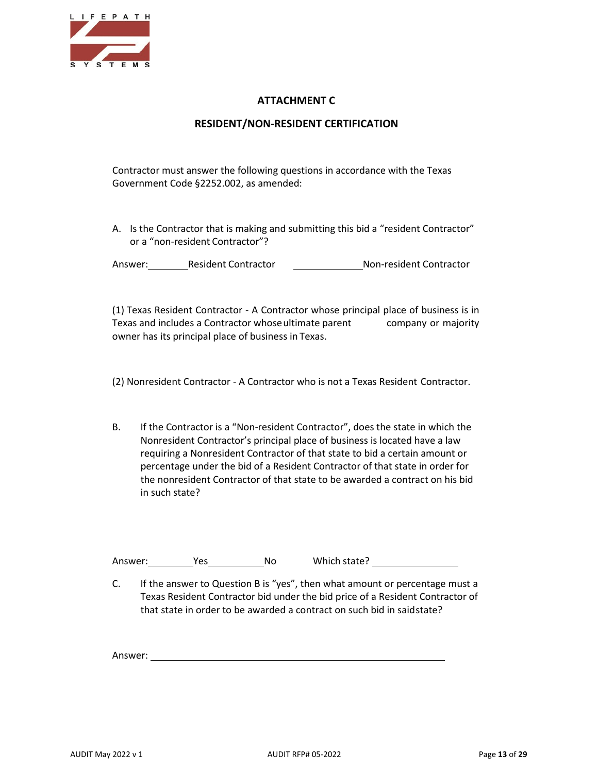

### **ATTACHMENT C**

#### **RESIDENT/NON-RESIDENT CERTIFICATION**

Contractor must answer the following questions in accordance with the Texas Government Code §2252.002, as amended:

A. Is the Contractor that is making and submitting this bid a "resident Contractor" or a "non-resident Contractor"?

Answer: Resident Contractor Mon-resident Contractor

(1) Texas Resident Contractor - A Contractor whose principal place of business is in Texas and includes a Contractor whoseultimate parent company or majority owner has its principal place of business in Texas.

(2) Nonresident Contractor - A Contractor who is not a Texas Resident Contractor.

B. If the Contractor is a "Non-resident Contractor", does the state in which the Nonresident Contractor's principal place of business is located have a law requiring a Nonresident Contractor of that state to bid a certain amount or percentage under the bid of a Resident Contractor of that state in order for the nonresident Contractor of that state to be awarded a contract on his bid in such state?

Answer: Yes No Which state?

C. If the answer to Question B is "yes", then what amount or percentage must a Texas Resident Contractor bid under the bid price of a Resident Contractor of that state in order to be awarded a contract on such bid in saidstate?

Answer: <u>with a series of the series of the series of the series of the series of the series of the series of the series of the series of the series of the series of the series of the series of the series of the series of </u>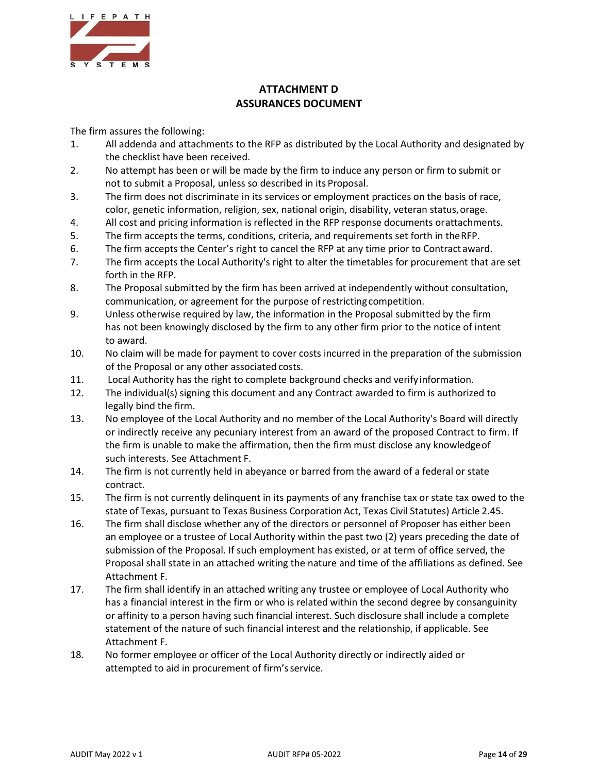

## **ATTACHMENT D ASSURANCES DOCUMENT**

The firm assures the following:

- 1. All addenda and attachments to the RFP as distributed by the Local Authority and designated by the checklist have been received.
- 2. No attempt has been or will be made by the firm to induce any person or firm to submit or not to submit a Proposal, unless so described in its Proposal.
- 3. The firm does not discriminate in its services or employment practices on the basis of race, color, genetic information, religion, sex, national origin, disability, veteran status, orage.
- 4. All cost and pricing information is reflected in the RFP response documents orattachments.
- 5. The firm accepts the terms, conditions, criteria, and requirements set forth in theRFP.
- 6. The firm accepts the Center's right to cancel the RFP at any time prior to Contract award.
- 7. The firm accepts the Local Authority's right to alter the timetables for procurement that are set forth in the RFP.
- 8. The Proposal submitted by the firm has been arrived at independently without consultation, communication, or agreement for the purpose of restricting competition.
- 9. Unless otherwise required by law, the information in the Proposal submitted by the firm has not been knowingly disclosed by the firm to any other firm prior to the notice of intent to award.
- 10. No claim will be made for payment to cover costs incurred in the preparation of the submission of the Proposal or any other associated costs.
- 11. Local Authority has the right to complete background checks and verify information.
- 12. The individual(s) signing this document and any Contract awarded to firm is authorized to legally bind the firm.
- 13. No employee of the Local Authority and no member of the Local Authority's Board will directly or indirectly receive any pecuniary interest from an award of the proposed Contract to firm. If the firm is unable to make the affirmation, then the firm must disclose any knowledgeof such interests. See Attachment F.
- 14. The firm is not currently held in abeyance or barred from the award of a federal or state contract.
- 15. The firm is not currently delinquent in its payments of any franchise tax or state tax owed to the state of Texas, pursuant to Texas Business Corporation Act, Texas Civil Statutes) Article 2.45.
- 16. The firm shall disclose whether any of the directors or personnel of Proposer has either been an employee or a trustee of Local Authority within the past two (2) years preceding the date of submission of the Proposal. If such employment has existed, or at term of office served, the Proposal shall state in an attached writing the nature and time of the affiliations as defined. See Attachment F.
- 17. The firm shall identify in an attached writing any trustee or employee of Local Authority who has a financial interest in the firm or who is related within the second degree by consanguinity or affinity to a person having such financial interest. Such disclosure shall include a complete statement of the nature of such financial interest and the relationship, if applicable. See Attachment F.
- 18. No former employee or officer of the Local Authority directly or indirectly aided or attempted to aid in procurement of firm'sservice.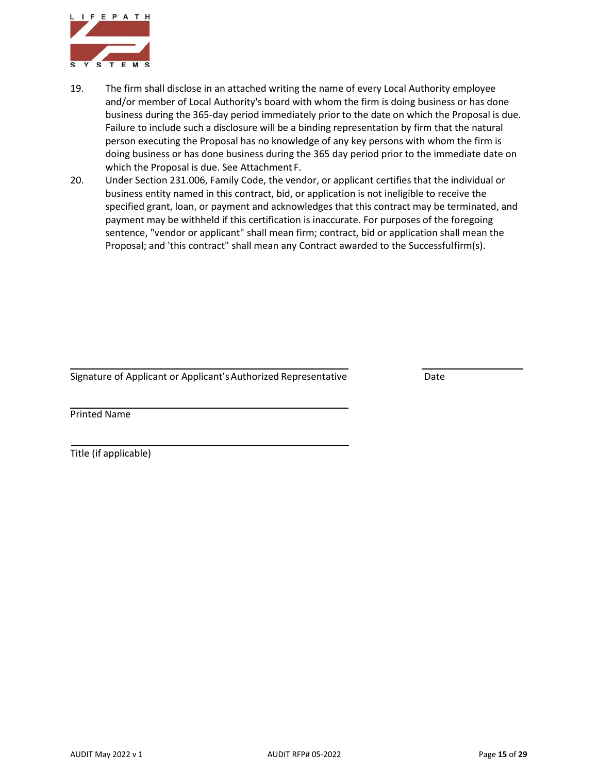

- 19. The firm shall disclose in an attached writing the name of every Local Authority employee and/or member of Local Authority's board with whom the firm is doing business or has done business during the 365-day period immediately prior to the date on which the Proposal is due. Failure to include such a disclosure will be a binding representation by firm that the natural person executing the Proposal has no knowledge of any key persons with whom the firm is doing business or has done business during the 365 day period prior to the immediate date on which the Proposal is due. See Attachment F.
- 20. Under Section 231.006, Family Code, the vendor, or applicant certifies that the individual or business entity named in this contract, bid, or application is not ineligible to receive the specified grant, loan, or payment and acknowledges that this contract may be terminated, and payment may be withheld if this certification is inaccurate. For purposes of the foregoing sentence, "vendor or applicant" shall mean firm; contract, bid or application shall mean the Proposal; and 'this contract" shall mean any Contract awarded to the Successfulfirm(s).

Signature of Applicant or Applicant's Authorized Representative **Date** Date

Printed Name

Title (if applicable)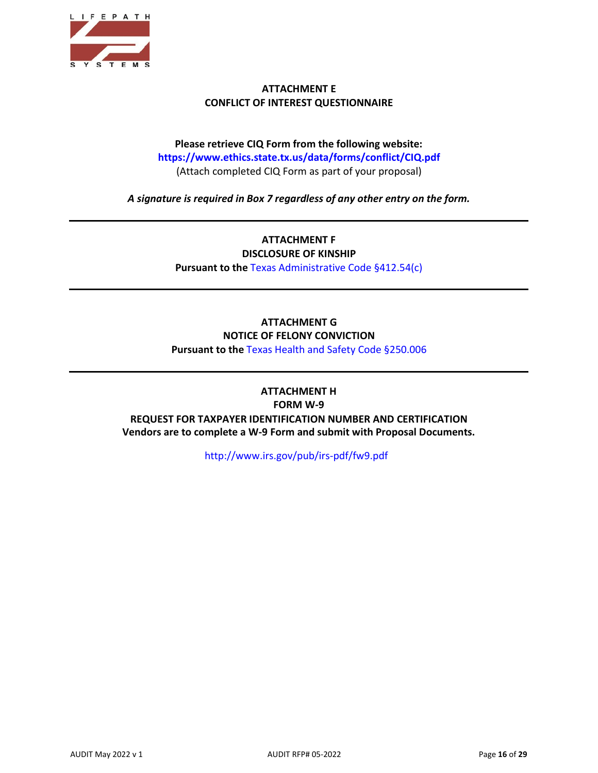

#### **ATTACHMENT E CONFLICT OF INTEREST QUESTIONNAIRE**

## **Please retrieve CIQ Form from the following website: https[://www.ethics.state.tx.us/data/forms/conflict/CIQ.pdf](http://www.ethics.state.tx.us/data/forms/conflict/CIQ.pdf)** (Attach completed CIQ Form as part of your proposal)

*A signature is required in Box 7 regardless of any other entry on the form.*

**ATTACHMENT F DISCLOSURE OF KINSHIP Pursuant to the** Texas Administrative Code §412.54(c)

### **ATTACHMENT G NOTICE OF FELONY CONVICTION Pursuant to the** Texas Health and Safety Code §250.006

**ATTACHMENT H FORM W-9 REQUEST FOR TAXPAYER IDENTIFICATION NUMBER AND CERTIFICATION Vendors are to complete a W-9 Form and submit with Proposal Documents.**

<http://www.irs.gov/pub/irs-pdf/fw9.pdf>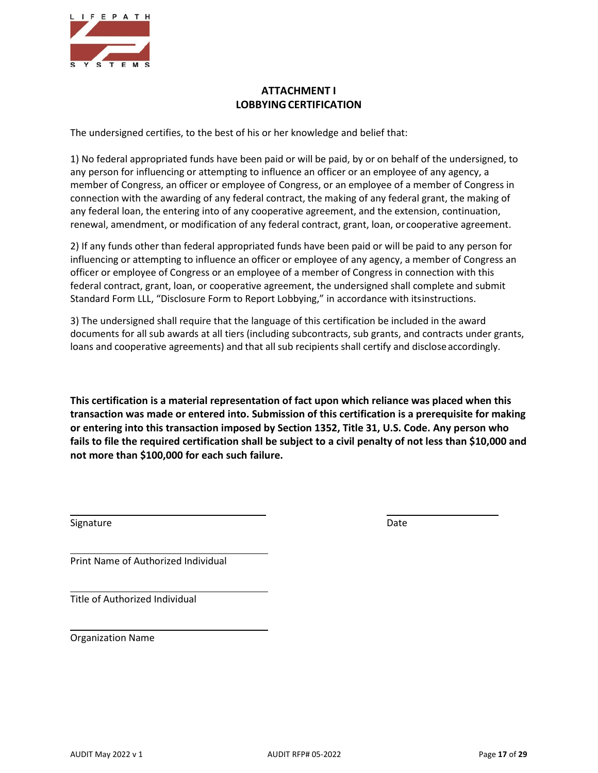

## **ATTACHMENT I LOBBYINGCERTIFICATION**

The undersigned certifies, to the best of his or her knowledge and belief that:

1) No federal appropriated funds have been paid or will be paid, by or on behalf of the undersigned, to any person for influencing or attempting to influence an officer or an employee of any agency, a member of Congress, an officer or employee of Congress, or an employee of a member of Congress in connection with the awarding of any federal contract, the making of any federal grant, the making of any federal loan, the entering into of any cooperative agreement, and the extension, continuation, renewal, amendment, or modification of any federal contract, grant, loan, or cooperative agreement.

2) If any funds other than federal appropriated funds have been paid or will be paid to any person for influencing or attempting to influence an officer or employee of any agency, a member of Congress an officer or employee of Congress or an employee of a member of Congress in connection with this federal contract, grant, loan, or cooperative agreement, the undersigned shall complete and submit Standard Form LLL, "Disclosure Form to Report Lobbying," in accordance with itsinstructions.

3) The undersigned shall require that the language of this certification be included in the award documents for all sub awards at all tiers (including subcontracts, sub grants, and contracts under grants, loans and cooperative agreements) and that all sub recipients shall certify and discloseaccordingly.

**This certification is a material representation of fact upon which reliance was placed when this transaction was made or entered into. Submission of this certification is a prerequisite for making or entering into this transaction imposed by Section 1352, Title 31, U.S. Code. Any person who fails to file the required certification shall be subject to a civil penalty of not less than \$10,000 and not more than \$100,000 for each such failure.**

Signature Date Date of the Date of the Date of the Date of the Date of the Date of the Date of the Date of the Date of the Date of the Date of the Date of the Date of the Date of the Date of the Date of the Date of the Dat

Print Name of Authorized Individual

Title of Authorized Individual

Organization Name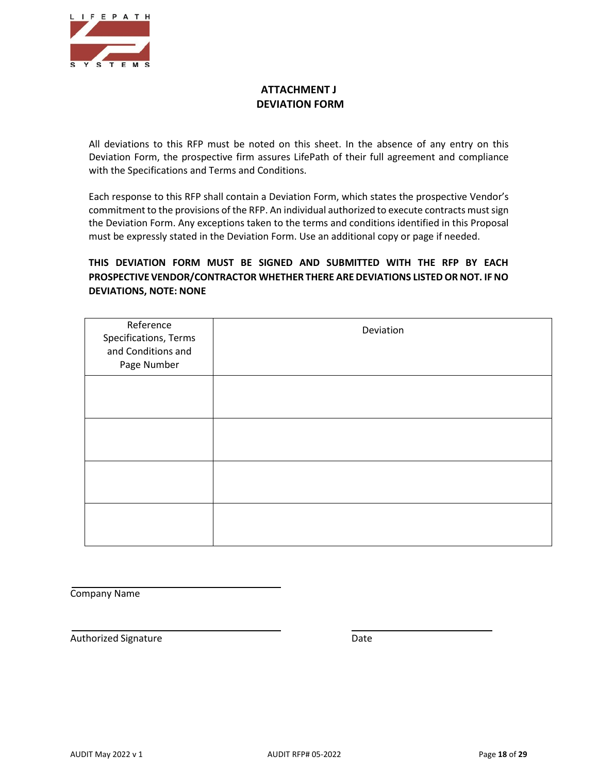

## **ATTACHMENT J DEVIATION FORM**

All deviations to this RFP must be noted on this sheet. In the absence of any entry on this Deviation Form, the prospective firm assures LifePath of their full agreement and compliance with the Specifications and Terms and Conditions.

Each response to this RFP shall contain a Deviation Form, which states the prospective Vendor's commitment to the provisions of the RFP. An individual authorized to execute contracts must sign the Deviation Form. Any exceptions taken to the terms and conditions identified in this Proposal must be expressly stated in the Deviation Form. Use an additional copy or page if needed.

## **THIS DEVIATION FORM MUST BE SIGNED AND SUBMITTED WITH THE RFP BY EACH PROSPECTIVE VENDOR/CONTRACTOR WHETHER THERE ARE DEVIATIONS LISTEDOR NOT. IF NO DEVIATIONS, NOTE: NONE**

| Reference<br>Specifications, Terms<br>and Conditions and<br>Page Number | Deviation |
|-------------------------------------------------------------------------|-----------|
|                                                                         |           |
|                                                                         |           |
|                                                                         |           |
|                                                                         |           |

Company Name

Authorized Signature **Date**